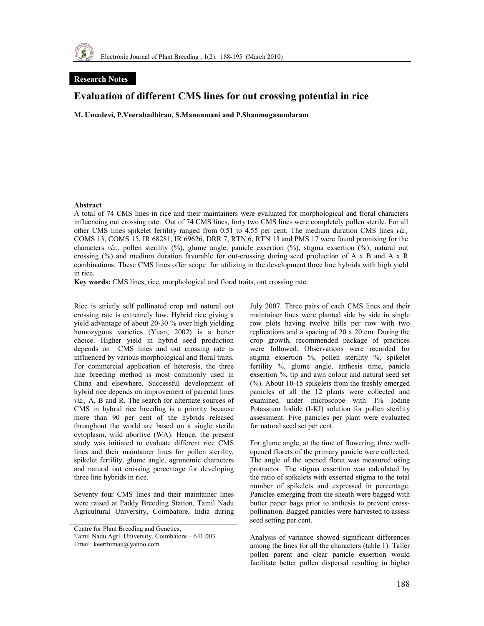

## Research Notes

## Evaluation of different CMS lines for out crossing potential in rice

M. Umadevi, P.Veerabadhiran, S.Manonmani and P.Shanmugasundaram

#### Abstract

A total of 74 CMS lines in rice and their maintainers were evaluated for morphological and floral characters influencing out crossing rate. Out of 74 CMS lines, forty two CMS lines were completely pollen sterile. For all other CMS lines spikelet fertility ranged from 0.51 to 4.55 per cent. The medium duration CMS lines viz., COMS 13, COMS 15, IR 68281, IR 69626, DRR 7, RTN 6, RTN 13 and PMS 17 were found promising for the characters viz., pollen sterility (%), glume angle, panicle exsertion (%), stigma exsertion (%), natural out crossing (%) and medium duration favorable for out-crossing during seed production of A x B and A x R combinations. These CMS lines offer scope for utilizing in the development three line hybrids with high yield in rice.

Key words: CMS lines, rice, morphological and floral traits, out crossing rate.

Rice is strictly self pollinated crop and natural out crossing rate is extremely low. Hybrid rice giving a yield advantage of about 20-30 % over high yielding homozygous varieties (Yuan, 2002) is a better choice. Higher yield in hybrid seed production depends on CMS lines and out crossing rate is influenced by various morphological and floral traits. For commercial application of heterosis, the three line breeding method is most commonly used in China and elsewhere. Successful development of hybrid rice depends on improvement of parental lines viz., A, B and R. The search for alternate sources of CMS in hybrid rice breeding is a priority because more than 90 per cent of the hybrids released throughout the world are based on a single sterile cytoplasm, wild abortive (WA). Hence, the present study was initiated to evaluate different rice CMS lines and their maintainer lines for pollen sterility, spikelet fertility, glume angle, agronomic characters and natural out crossing percentage for developing three line hybrids in rice.

Seventy four CMS lines and their maintainer lines were raised at Paddy Breeding Station, Tamil Nadu Agricultural University, Coimbatore, India during July 2007. Three pairs of each CMS lines and their maintainer lines were planted side by side in single row plots having twelve hills per row with two replications and a spacing of 20 x 20 cm. During the crop growth, recommended package of practices were followed. Observations were recorded for stigma exsertion %, pollen sterility %, spikelet fertility %, glume angle, anthesis time, panicle exsertion %, tip and awn colour and natural seed set (%). About 10-15 spikelets from the freshly emerged panicles of all the 12 plants were collected and examined under microscope with 1% Iodine Potassium Iodide (I-KI) solution for pollen sterility assessment. Five panicles per plant were evaluated for natural seed set per cent.

For glume angle, at the time of flowering, three wellopened florets of the primary panicle were collected. The angle of the opened floret was measured using protractor. The stigma exsertion was calculated by the ratio of spikelets with exserted stigma to the total number of spikelets and expressed in percentage. Panicles emerging from the sheath were bagged with butter paper bags prior to anthesis to prevent crosspollination. Bagged panicles were harvested to assess seed setting per cent.

Analysis of variance showed significant differences among the lines for all the characters (table 1). Taller pollen parent and clear panicle exsertion would facilitate better pollen dispersal resulting in higher

Centre for Plant Breeding and Genetics, Tamil Nadu Agrl. University, Coimbatore – 641 003. Email: keerthitnau@yahoo.com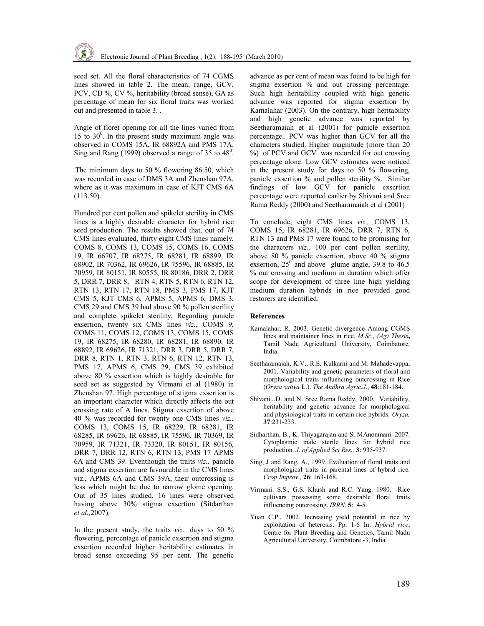

seed set. All the floral characteristics of 74 CGMS lines showed in table 2. The mean, range, GCV, PCV, CD %, CV %, heritability (broad sense), GA as percentage of mean for six floral traits was worked out and presented in table 3. .

Angle of floret opening for all the lines varied from 15 to  $30^0$ . In the present study maximum angle was observed in COMS 15A, IR 68892A and PMS 17A. Sing and Rang (1999) observed a range of 35 to  $48^\circ$ .

The minimum days to 50 % flowering 86.50, which was recorded in case of DMS 3A and Zhenshan 97A, where as it was maximum in case of KJT CMS 6A (113.50).

Hundred per cent pollen and spikelet sterility in CMS lines is a highly desirable character for hybrid rice seed production. The results showed that, out of 74 CMS lines evaluated, thirty eight CMS lines namely, COMS 8, COMS 13, COMS 15, COMS 16, COMS 19, IR 66707, IR 68275, IR 68281, IR 68899, IR 68902, IR 70362, IR 69626, IR 75596, IR 68885, IR 70959, IR 80151, IR 80555, IR 80186, DRR 2, DRR 5, DRR 7, DRR 8, RTN 4, RTN 5, RTN 6, RTN 12, RTN 13, RTN 17, RTN 18, PMS 3, PMS 17, KJT CMS 5, KJT CMS 6, APMS 5, APMS 6, DMS 3, CMS 29 and CMS 39 had above 90 % pollen sterility and complete spikelet sterility. Regarding panicle exsertion, twenty six CMS lines viz., COMS 9, COMS 11, COMS 12, COMS 13, COMS 15, COMS 19, IR 68275, IR 68280, IR 68281, IR 68890, IR 68892, IR 69626, IR 71321, DRR 3, DRR 5, DRR 7, DRR 8, RTN 1, RTN 3, RTN 6, RTN 12, RTN 13, PMS 17, APMS 6, CMS 29, CMS 39 exhibited above 80 % exsertion which is highly desirable for seed set as suggested by Virmani et al (1980) in Zhenshan 97. High percentage of stigma exsertion is an important character which directly affects the out crossing rate of A lines. Stigma exsertion of above 40 % was recorded for twenty one CMS lines viz., COMS 13, COMS 15, IR 68229, IR 68281, IR 68285, IR 69626, IR 68885, IR 75596, IR 70369, IR 70959, IR 71321, IR 73320, IR 80151, IR 80156, DRR 7, DRR 12, RTN 6, RTN 13, PMS 17 APMS 6A and CMS 39. Eventhough the traits viz., panicle and stigma exsertion are favourable in the CMS lines viz., APMS 6A and CMS 39A, their outcrossing is less which might be due to narrow glome opening. Out of 35 lines studied, 16 lines were observed having above 30% stigma exsertion (Sitdarthan et al.,2007).

In the present study, the traits  $viz.$ , days to 50 % flowering, percentage of panicle exsertion and stigma exsertion recorded higher heritability estimates in broad sense exceeding 95 per cent. The genetic advance as per cent of mean was found to be high for stigma exsertion % and out crossing percentage. Such high heritability coupled with high genetic advance was reported for stigma exsertion by Kamalahar (2003). On the contrary, high heritability and high genetic advance was reported by Seetharamaiah et al (2001) for panicle exsertion percentage.. PCV was higher than GCV for all the characters studied. Higher magnitude (more than 20 %) of PCV and GCV was recorded for out crossing percentage alone. Low GCV estimates were noticed in the present study for days to 50 % flowering, panicle exsertion % and pollen sterility %. Similar findings of low GCV for panicle exsertion percentage were reported earlier by Shivani and Sree Rama Reddy (2000) and Seetharamaiah et al (2001)

To conclude, eight CMS lines viz., COMS 13, COMS 15, IR 68281, IR 69626, DRR 7, RTN 6, RTN 13 and PMS 17 were found to be promising for the characters viz., 100 per cent pollen sterility, above 80 % panicle exsertion, above 40 % stigma exsertion,  $25^\circ$  and above glume angle, 39.8 to  $46.5$ % out crossing and medium in duration which offer scope for development of three line high yielding medium duration hybrids in rice provided good restorers are identified.

#### References

- Kamalahar, R. 2003. Genetic divergence Among CGMS lines and maintainer lines in rice. M.Sc., (Ag) Thesis, Tamil Nadu Agricultural University, Coimbatore, India.
- Seetharamaiah, K.V., R.S. Kulkarni and M. Mahadevappa, 2001. Variability and genetic parameters of floral and morphological traits influencing outcrossing in Rice (Oryza sativa L.). The Andhra Agric.J., 48:181-184.
- Shivani.,.D. and N. Sree Rama Reddy, 2000. Variability, heritability and genetic advance for morphological and physiological traits in certain rice hybrids. Oryza, 37:231-233.
- Sidharthan, B., K. Thiyagarajan and S. MAnonmani. 2007. Cytoplasmic male sterile lines for hybrid rice production. J. of Applied Sci Res., 3: 935-937.
- Sing, J and Rang, A., 1999. Evaluation of floral traits and morphological traits in parental lines of hybrid rice. Crop Improv., 26: 163-168.
- Virmani. S.S., G.S. Khush and R.C. Yang. 1980. Rice cultivars possessing some desirable floral traits influencing outcrossing. IRRN, 5: 4-5.
- Yuan C.P., 2002. Increasing yield potential in rice by exploitation of heterosis. Pp. 1-6 In: Hybrid rice, Centre for Plant Breeding and Genetics, Tamil Nadu Agricultural University, Coimbatore -3, India.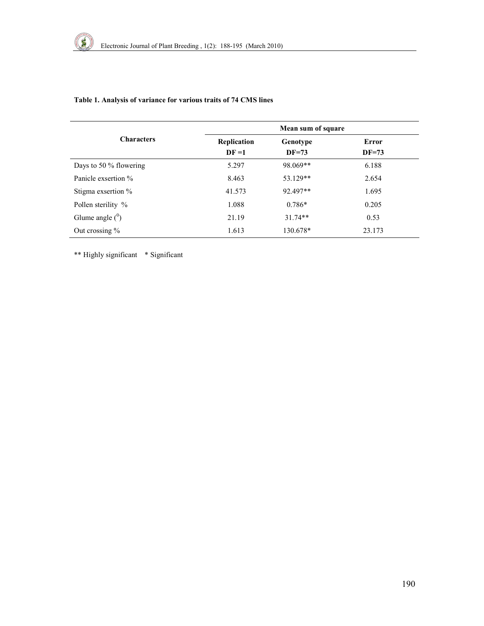|                           | Mean sum of square |            |         |  |  |  |  |  |
|---------------------------|--------------------|------------|---------|--|--|--|--|--|
| <b>Characters</b>         | Replication        | Genotype   | Error   |  |  |  |  |  |
|                           | $DF = 1$           | $DF=73$    | $DF=73$ |  |  |  |  |  |
| Days to 50 $\%$ flowering | 5.297              | 98.069**   | 6.188   |  |  |  |  |  |
| Panicle exsertion %       | 8.463              | 53.129**   | 2.654   |  |  |  |  |  |
| Stigma exsertion %        | 41.573             | $92.497**$ | 1.695   |  |  |  |  |  |
| Pollen sterility %        | 1.088              | $0.786*$   | 0.205   |  |  |  |  |  |
| Glume angle $(^0)$        | 21.19              | $31.74**$  | 0.53    |  |  |  |  |  |
| Out crossing $%$          | 1.613              | 130.678*   | 23.173  |  |  |  |  |  |

## Table 1. Analysis of variance for various traits of 74 CMS lines

\*\* Highly significant \* Significant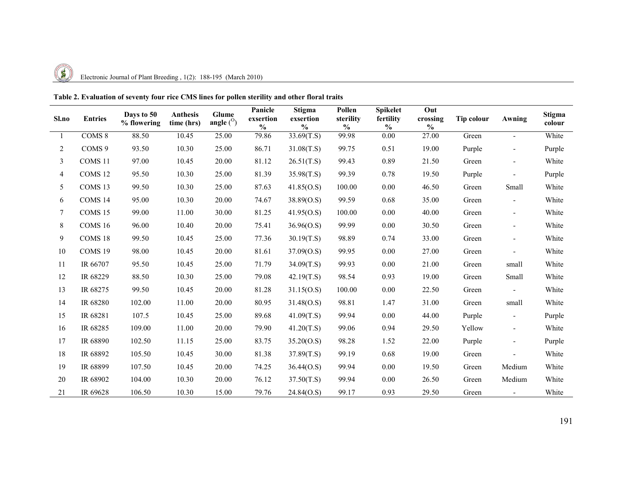

#### Electronic Journal of Plant Breeding ,  $1(2)$ : 188-195 (March 2010)

| Sl.no | <b>Entries</b>     | Days to 50<br>% flowering | <b>Anthesis</b><br>time (hrs) | Glume<br>angle $($ <sup>o</sup> $)$ | Panicle<br>exsertion<br>$\frac{6}{6}$ | <b>Stigma</b><br>Pollen<br><b>Spikelet</b><br>Out<br>exsertion<br>sterility<br>fertility<br>crossing<br>$\frac{0}{0}$<br>$\frac{6}{6}$<br>$\frac{0}{0}$<br>$\frac{0}{0}$ |        | Tip colour | Awning | <b>Stigma</b><br>colour |                          |        |
|-------|--------------------|---------------------------|-------------------------------|-------------------------------------|---------------------------------------|--------------------------------------------------------------------------------------------------------------------------------------------------------------------------|--------|------------|--------|-------------------------|--------------------------|--------|
|       | COMS 8             | 88.50                     | 10.45                         | 25.00                               | 79.86                                 | 33.69(T.S)                                                                                                                                                               | 99.98  | 0.00       | 27.00  | Green                   |                          | White  |
| 2     | COMS <sub>9</sub>  | 93.50                     | 10.30                         | 25.00                               | 86.71                                 | 31.08(T.S)                                                                                                                                                               | 99.75  | 0.51       | 19.00  | Purple                  |                          | Purple |
| 3     | COMS 11            | 97.00                     | 10.45                         | 20.00                               | 81.12                                 | 26.51(T.S)                                                                                                                                                               | 99.43  | 0.89       | 21.50  | Green                   | $\blacksquare$           | White  |
| 4     | COMS <sub>12</sub> | 95.50                     | 10.30                         | 25.00                               | 81.39                                 | 35.98(T.S)                                                                                                                                                               | 99.39  | 0.78       | 19.50  | Purple                  |                          | Purple |
| 5     | COMS <sub>13</sub> | 99.50                     | 10.30                         | 25.00                               | 87.63                                 | 41.85(O.S)                                                                                                                                                               | 100.00 | 0.00       | 46.50  | Green                   | Small                    | White  |
| 6     | COMS <sub>14</sub> | 95.00                     | 10.30                         | 20.00                               | 74.67                                 | 38.89(0.5)                                                                                                                                                               | 99.59  | 0.68       | 35.00  | Green                   | $\overline{\phantom{a}}$ | White  |
| 7     | COMS 15            | 99.00                     | 11.00                         | 30.00                               | 81.25                                 | 41.95(O.S)                                                                                                                                                               | 100.00 | 0.00       | 40.00  | Green                   | $\overline{\phantom{0}}$ | White  |
| 8     | COMS <sub>16</sub> | 96.00                     | 10.40                         | 20.00                               | 75.41                                 | 36.96(O.S)                                                                                                                                                               | 99.99  | 0.00       | 30.50  | Green                   |                          | White  |
| 9     | COMS 18            | 99.50                     | 10.45                         | 25.00                               | 77.36                                 | 30.19(T.S)                                                                                                                                                               | 98.89  | 0.74       | 33.00  | Green                   |                          | White  |
| 10    | COMS 19            | 98.00                     | 10.45                         | 20.00                               | 81.61                                 | 37.09(O.S)                                                                                                                                                               | 99.95  | 0.00       | 27.00  | Green                   |                          | White  |
| 11    | IR 66707           | 95.50                     | 10.45                         | 25.00                               | 71.79                                 | 34.09(T.S)                                                                                                                                                               | 99.93  | 0.00       | 21.00  | Green                   | small                    | White  |
| 12    | IR 68229           | 88.50                     | 10.30                         | 25.00                               | 79.08                                 | 42.19(T.S)                                                                                                                                                               | 98.54  | 0.93       | 19.00  | Green                   | Small                    | White  |
| 13    | IR 68275           | 99.50                     | 10.45                         | 20.00                               | 81.28                                 | 31.15(0.5)                                                                                                                                                               | 100.00 | 0.00       | 22.50  | Green                   |                          | White  |
| 14    | IR 68280           | 102.00                    | 11.00                         | 20.00                               | 80.95                                 | 31.48(O.S)                                                                                                                                                               | 98.81  | 1.47       | 31.00  | Green                   | small                    | White  |
| 15    | IR 68281           | 107.5                     | 10.45                         | 25.00                               | 89.68                                 | 41.09(T.S)                                                                                                                                                               | 99.94  | 0.00       | 44.00  | Purple                  |                          | Purple |
| 16    | IR 68285           | 109.00                    | 11.00                         | 20.00                               | 79.90                                 | 41.20(T.S)                                                                                                                                                               | 99.06  | 0.94       | 29.50  | Yellow                  |                          | White  |
| 17    | IR 68890           | 102.50                    | 11.15                         | 25.00                               | 83.75                                 | 35.20(0.5)                                                                                                                                                               | 98.28  | 1.52       | 22.00  | Purple                  | $\blacksquare$           | Purple |
| 18    | IR 68892           | 105.50                    | 10.45                         | 30.00                               | 81.38                                 | 37.89(T.S)                                                                                                                                                               | 99.19  | 0.68       | 19.00  | Green                   |                          | White  |
| 19    | IR 68899           | 107.50                    | 10.45                         | 20.00                               | 74.25                                 | 36.44(O.S)                                                                                                                                                               | 99.94  | 0.00       | 19.50  | Green                   | Medium                   | White  |
| 20    | IR 68902           | 104.00                    | 10.30                         | 20.00                               | 76.12                                 | 37.50(T.S)                                                                                                                                                               | 99.94  | 0.00       | 26.50  | Green                   | Medium                   | White  |
| 21    | IR 69628           | 106.50                    | 10.30                         | 15.00                               | 79.76                                 | 24.84(O.S)                                                                                                                                                               | 99.17  | 0.93       | 29.50  | Green                   |                          | White  |

# Table 2. Evaluation of seventy four rice CMS lines for pollen sterility and other floral traits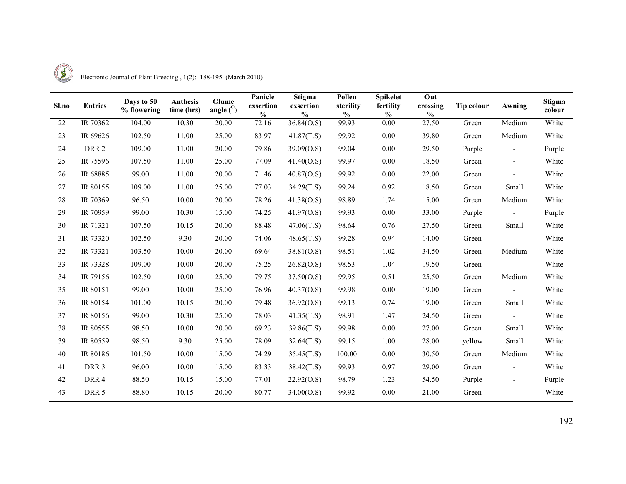Electronic Journal of Plant Breeding ,  $1(2)$ : 188-195 (March 2010)

| Sl.no | <b>Entries</b>   | Days to 50<br>% flowering | Anthesis<br>time (hrs) | <b>Glume</b><br>angle $\binom{0}{0}$ | Panicle<br>exsertion<br>$\frac{0}{0}$ | <b>Stigma</b><br>exsertion<br>$\frac{0}{0}$ | Pollen<br>sterility<br>$\frac{0}{0}$ | <b>Spikelet</b><br>fertility<br>$\%$ | Out<br>crossing<br>$\%$ | Tip colour | Awning                   | Stigma<br>colour |
|-------|------------------|---------------------------|------------------------|--------------------------------------|---------------------------------------|---------------------------------------------|--------------------------------------|--------------------------------------|-------------------------|------------|--------------------------|------------------|
| 22    | IR 70362         | 104.00                    | 10.30                  | 20.00                                | 72.16                                 | 36.84(O.S)                                  | 99.93                                | 0.00                                 | 27.50                   | Green      | Medium                   | White            |
| 23    | IR 69626         | 102.50                    | 11.00                  | 25.00                                | 83.97                                 | 41.87(T.S)                                  | 99.92                                | 0.00                                 | 39.80                   | Green      | Medium                   | White            |
| 24    | DRR <sub>2</sub> | 109.00                    | 11.00                  | 20.00                                | 79.86                                 | 39.09(O.S)                                  | 99.04                                | 0.00                                 | 29.50                   | Purple     | $\overline{\phantom{a}}$ | Purple           |
| 25    | IR 75596         | 107.50                    | 11.00                  | 25.00                                | 77.09                                 | 41.40(O.S)                                  | 99.97                                | 0.00                                 | 18.50                   | Green      | $\overline{\phantom{a}}$ | White            |
| 26    | IR 68885         | 99.00                     | 11.00                  | 20.00                                | 71.46                                 | 40.87(O.S)                                  | 99.92                                | 0.00                                 | 22.00                   | Green      | $\overline{\phantom{a}}$ | White            |
| 27    | IR 80155         | 109.00                    | 11.00                  | 25.00                                | 77.03                                 | 34.29(T.S)                                  | 99.24                                | 0.92                                 | 18.50                   | Green      | Small                    | White            |
| 28    | IR 70369         | 96.50                     | 10.00                  | 20.00                                | 78.26                                 | 41.38(0.5)                                  | 98.89                                | 1.74                                 | 15.00                   | Green      | Medium                   | White            |
| 29    | IR 70959         | 99.00                     | 10.30                  | 15.00                                | 74.25                                 | 41.97(0.5)                                  | 99.93                                | 0.00                                 | 33.00                   | Purple     | $\sim$                   | Purple           |
| 30    | IR 71321         | 107.50                    | 10.15                  | 20.00                                | 88.48                                 | 47.06(T.S)                                  | 98.64                                | 0.76                                 | 27.50                   | Green      | Small                    | White            |
| 31    | IR 73320         | 102.50                    | 9.30                   | 20.00                                | 74.06                                 | 48.65(T.S)                                  | 99.28                                | 0.94                                 | 14.00                   | Green      |                          | White            |
| 32    | IR 73321         | 103.50                    | 10.00                  | 20.00                                | 69.64                                 | 38.81(0.5)                                  | 98.51                                | 1.02                                 | 34.50                   | Green      | Medium                   | White            |
| 33    | IR 73328         | 109.00                    | 10.00                  | 20.00                                | 75.25                                 | 26.82(0.5)                                  | 98.53                                | 1.04                                 | 19.50                   | Green      | $\sim$                   | White            |
| 34    | IR 79156         | 102.50                    | 10.00                  | 25.00                                | 79.75                                 | 37.50(0.5)                                  | 99.95                                | 0.51                                 | 25.50                   | Green      | Medium                   | White            |
| 35    | IR 80151         | 99.00                     | 10.00                  | 25.00                                | 76.96                                 | 40.37(O.S)                                  | 99.98                                | 0.00                                 | 19.00                   | Green      | $\overline{\phantom{a}}$ | White            |
| 36    | IR 80154         | 101.00                    | 10.15                  | 20.00                                | 79.48                                 | 36.92(O.S)                                  | 99.13                                | 0.74                                 | 19.00                   | Green      | Small                    | White            |
| 37    | IR 80156         | 99.00                     | 10.30                  | 25.00                                | 78.03                                 | 41.35(T.S)                                  | 98.91                                | 1.47                                 | 24.50                   | Green      | $\sim$                   | White            |
| 38    | IR 80555         | 98.50                     | 10.00                  | 20.00                                | 69.23                                 | 39.86(T.S)                                  | 99.98                                | 0.00                                 | 27.00                   | Green      | Small                    | White            |
| 39    | IR 80559         | 98.50                     | 9.30                   | 25.00                                | 78.09                                 | 32.64(T.S)                                  | 99.15                                | 1.00                                 | 28.00                   | yellow     | Small                    | White            |
| 40    | IR 80186         | 101.50                    | 10.00                  | 15.00                                | 74.29                                 | 35.45(T.S)                                  | 100.00                               | 0.00                                 | 30.50                   | Green      | Medium                   | White            |
| 41    | DRR <sub>3</sub> | 96.00                     | 10.00                  | 15.00                                | 83.33                                 | 38.42(T.S)                                  | 99.93                                | 0.97                                 | 29.00                   | Green      | $\overline{\phantom{a}}$ | White            |
| 42    | DRR 4            | 88.50                     | 10.15                  | 15.00                                | 77.01                                 | 22.92(0.5)                                  | 98.79                                | 1.23                                 | 54.50                   | Purple     | $\overline{\phantom{a}}$ | Purple           |
| 43    | DRR <sub>5</sub> | 88.80                     | 10.15                  | 20.00                                | 80.77                                 | 34.00(O.S)                                  | 99.92                                | 0.00                                 | 21.00                   | Green      |                          | White            |
|       |                  |                           |                        |                                      |                                       |                                             |                                      |                                      |                         |            |                          |                  |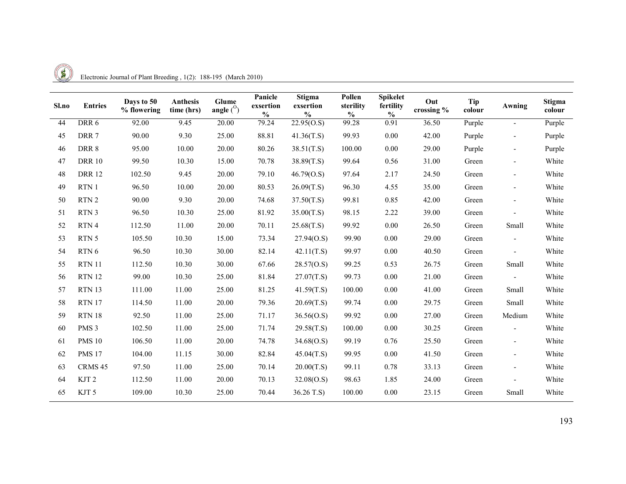Electronic Journal of Plant Breeding ,  $1(2)$ : 188-195 (March 2010)

| Sl.no | <b>Entries</b>   | Days to 50<br>% flowering | <b>Anthesis</b><br>time (hrs) | <b>Glume</b><br>angle $($ <sup>o</sup> $)$ | Panicle<br>exsertion<br>$\frac{0}{0}$ | <b>Stigma</b><br>exsertion<br>$\frac{0}{0}$ | Pollen<br>sterility<br>$\frac{1}{2}$ | <b>Spikelet</b><br>fertility<br>$\frac{0}{0}$ | Out<br>crossing % | Tip<br>colour | Awning                   | Stigma<br>colour |
|-------|------------------|---------------------------|-------------------------------|--------------------------------------------|---------------------------------------|---------------------------------------------|--------------------------------------|-----------------------------------------------|-------------------|---------------|--------------------------|------------------|
| 44    | DRR 6            | 92.00                     | 9.45                          | 20.00                                      | 79.24                                 | 22.95(O.S)                                  | 99.28                                | 0.91                                          | 36.50             | Purple        | $\blacksquare$           | Purple           |
| 45    | DRR <sub>7</sub> | 90.00                     | 9.30                          | 25.00                                      | 88.81                                 | 41.36(T.S)                                  | 99.93                                | 0.00                                          | 42.00             | Purple        | $\overline{\phantom{a}}$ | Purple           |
| 46    | DRR 8            | 95.00                     | 10.00                         | 20.00                                      | 80.26                                 | 38.51(T.S)                                  | 100.00                               | 0.00                                          | 29.00             | Purple        | $\overline{\phantom{a}}$ | Purple           |
| 47    | <b>DRR 10</b>    | 99.50                     | 10.30                         | 15.00                                      | 70.78                                 | 38.89(T.S)                                  | 99.64                                | 0.56                                          | 31.00             | Green         | $\overline{\phantom{a}}$ | White            |
| 48    | <b>DRR12</b>     | 102.50                    | 9.45                          | 20.00                                      | 79.10                                 | 46.79(O.S)                                  | 97.64                                | 2.17                                          | 24.50             | Green         | $\overline{\phantom{a}}$ | White            |
| 49    | RTN 1            | 96.50                     | 10.00                         | 20.00                                      | 80.53                                 | 26.09(T.S)                                  | 96.30                                | 4.55                                          | 35.00             | Green         | $\blacksquare$           | White            |
| 50    | RTN <sub>2</sub> | 90.00                     | 9.30                          | 20.00                                      | 74.68                                 | 37.50(T.S)                                  | 99.81                                | 0.85                                          | 42.00             | Green         | $\blacksquare$           | White            |
| 51    | RTN <sub>3</sub> | 96.50                     | 10.30                         | 25.00                                      | 81.92                                 | 35.00(T.S)                                  | 98.15                                | 2.22                                          | 39.00             | Green         | $\blacksquare$           | White            |
| 52    | RTN 4            | 112.50                    | 11.00                         | 20.00                                      | 70.11                                 | 25.68(T.S)                                  | 99.92                                | 0.00                                          | 26.50             | Green         | Small                    | White            |
| 53    | RTN 5            | 105.50                    | 10.30                         | 15.00                                      | 73.34                                 | 27.94(O.S)                                  | 99.90                                | 0.00                                          | 29.00             | Green         | $\overline{\phantom{a}}$ | White            |
| 54    | RTN 6            | 96.50                     | 10.30                         | 30.00                                      | 82.14                                 | 42.11(T.S)                                  | 99.97                                | 0.00                                          | 40.50             | Green         | $\blacksquare$           | White            |
| 55    | <b>RTN 11</b>    | 112.50                    | 10.30                         | 30.00                                      | 67.66                                 | 28.57(0.5)                                  | 99.25                                | 0.53                                          | 26.75             | Green         | Small                    | White            |
| 56    | <b>RTN 12</b>    | 99.00                     | 10.30                         | 25.00                                      | 81.84                                 | 27.07(T.S)                                  | 99.73                                | 0.00                                          | 21.00             | Green         | $\blacksquare$           | White            |
| 57    | <b>RTN 13</b>    | 111.00                    | 11.00                         | 25.00                                      | 81.25                                 | 41.59(T.S)                                  | 100.00                               | 0.00                                          | 41.00             | Green         | Small                    | White            |
| 58    | <b>RTN 17</b>    | 114.50                    | 11.00                         | 20.00                                      | 79.36                                 | 20.69(T.S)                                  | 99.74                                | 0.00                                          | 29.75             | Green         | Small                    | White            |
| 59    | <b>RTN 18</b>    | 92.50                     | 11.00                         | 25.00                                      | 71.17                                 | 36.56(O.S)                                  | 99.92                                | 0.00                                          | 27.00             | Green         | Medium                   | White            |
| 60    | PMS <sub>3</sub> | 102.50                    | 11.00                         | 25.00                                      | 71.74                                 | 29.58(T.S)                                  | 100.00                               | 0.00                                          | 30.25             | Green         | $\overline{\phantom{a}}$ | White            |
| 61    | <b>PMS 10</b>    | 106.50                    | 11.00                         | 20.00                                      | 74.78                                 | 34.68(O.S)                                  | 99.19                                | 0.76                                          | 25.50             | Green         | $\overline{\phantom{a}}$ | White            |
| 62    | <b>PMS 17</b>    | 104.00                    | 11.15                         | 30.00                                      | 82.84                                 | 45.04(T.S)                                  | 99.95                                | 0.00                                          | 41.50             | Green         | $\overline{\phantom{a}}$ | White            |
| 63    | CRMS 45          | 97.50                     | 11.00                         | 25.00                                      | 70.14                                 | 20.00(T.S)                                  | 99.11                                | 0.78                                          | 33.13             | Green         | $\overline{\phantom{a}}$ | White            |
| 64    | KJT <sub>2</sub> | 112.50                    | 11.00                         | 20.00                                      | 70.13                                 | 32.08(O.S)                                  | 98.63                                | 1.85                                          | 24.00             | Green         |                          | White            |
| 65    | KJT <sub>5</sub> | 109.00                    | 10.30                         | 25.00                                      | 70.44                                 | 36.26 T.S)                                  | 100.00                               | 0.00                                          | 23.15             | Green         | Small                    | White            |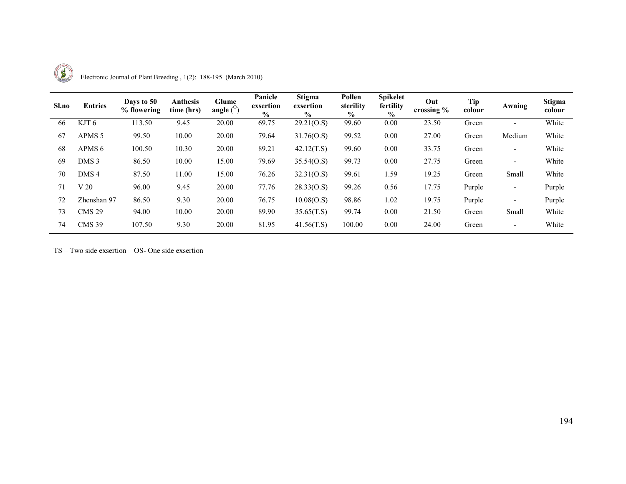

Electronic Journal of Plant Breeding ,  $1(2)$ : 188-195 (March 2010)

| Sl.no | <b>Entries</b>   | Days to 50<br>% flowering | <b>Anthesis</b><br>time (hrs) | <b>Glume</b><br>angle $\binom{0}{0}$ | Panicle<br>exsertion<br>$\frac{0}{0}$ | <b>Stigma</b><br>exsertion<br>$\frac{6}{6}$ | Pollen<br>sterility<br>$\%$ | <b>Spikelet</b><br>fertility<br>$\frac{0}{0}$ | Out<br>crossing $\%$ | Tip<br>colour | Awning                   | Stigma<br>colour |
|-------|------------------|---------------------------|-------------------------------|--------------------------------------|---------------------------------------|---------------------------------------------|-----------------------------|-----------------------------------------------|----------------------|---------------|--------------------------|------------------|
| 66    | KJT 6            | 113.50                    | 9.45                          | 20.00                                | 69.75                                 | 29.21(0.5)                                  | 99.60                       | 0.00                                          | 23.50                | Green         | $\qquad \qquad -$        | White            |
| 67    | APMS 5           | 99.50                     | 10.00                         | 20.00                                | 79.64                                 | 31.76(O.S)                                  | 99.52                       | 0.00                                          | 27.00                | Green         | Medium                   | White            |
| 68    | APMS 6           | 100.50                    | 10.30                         | 20.00                                | 89.21                                 | 42.12(T.S)                                  | 99.60                       | 0.00                                          | 33.75                | Green         | $\overline{\phantom{0}}$ | White            |
| 69    | DMS <sub>3</sub> | 86.50                     | 10.00                         | 15.00                                | 79.69                                 | 35.54(O.S)                                  | 99.73                       | 0.00                                          | 27.75                | Green         | $\overline{\phantom{a}}$ | White            |
| 70    | DMS <sub>4</sub> | 87.50                     | 11.00                         | 15.00                                | 76.26                                 | 32.31(0.5)                                  | 99.61                       | 1.59                                          | 19.25                | Green         | Small                    | White            |
| 71    | V 20             | 96.00                     | 9.45                          | 20.00                                | 77.76                                 | 28.33(0.5)                                  | 99.26                       | 0.56                                          | 17.75                | Purple        | $\overline{\phantom{a}}$ | Purple           |
| 72    | Zhenshan 97      | 86.50                     | 9.30                          | 20.00                                | 76.75                                 | 10.08(O.S)                                  | 98.86                       | 1.02                                          | 19.75                | Purple        | $\overline{\phantom{a}}$ | Purple           |
| 73    | <b>CMS 29</b>    | 94.00                     | 10.00                         | 20.00                                | 89.90                                 | 35.65(T.S)                                  | 99.74                       | 0.00                                          | 21.50                | Green         | Small                    | White            |
| 74    | <b>CMS 39</b>    | 107.50                    | 9.30                          | 20.00                                | 81.95                                 | 41.56(T.S)                                  | 100.00                      | 0.00                                          | 24.00                | Green         | $\overline{\phantom{a}}$ | White            |

TS – Two side exsertion OS- One side exsertion